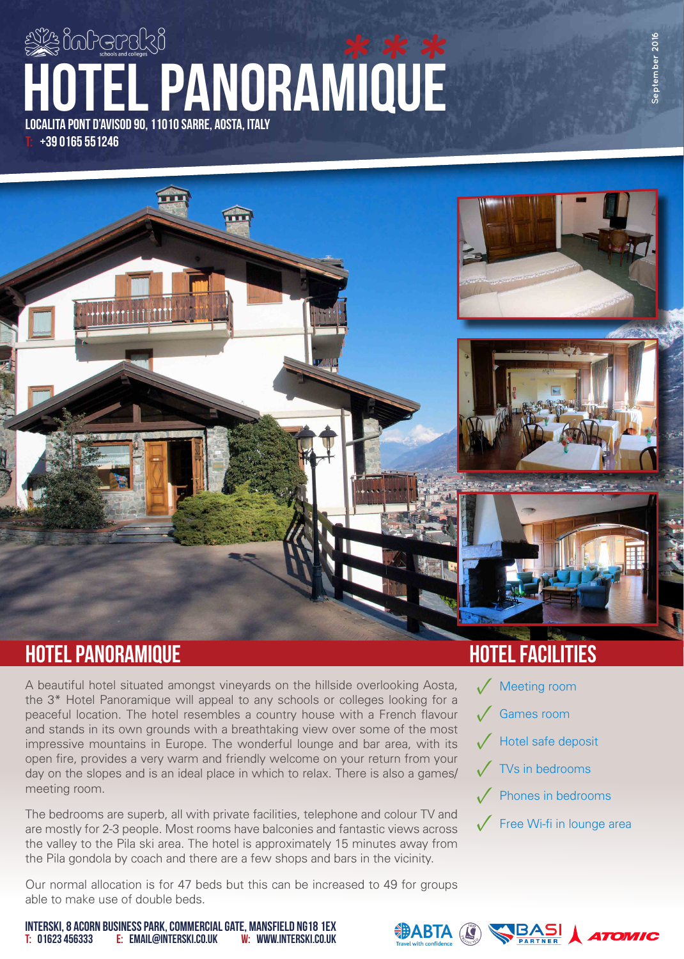# localita pont d'avisod 90, 11010 sarre, aosta, italy hotel panoramique **\*\*\***

+39 0165 551246



# hotel PANORAMIQUE hotel facilities

A beautiful hotel situated amongst vineyards on the hillside overlooking Aosta, the 3\* Hotel Panoramique will appeal to any schools or colleges looking for a peaceful location. The hotel resembles a country house with a French flavour and stands in its own grounds with a breathtaking view over some of the most impressive mountains in Europe. The wonderful lounge and bar area, with its open fire, provides a very warm and friendly welcome on your return from your day on the slopes and is an ideal place in which to relax. There is also a games/ meeting room.

The bedrooms are superb, all with private facilities, telephone and colour TV and are mostly for 2-3 people. Most rooms have balconies and fantastic views across the valley to the Pila ski area. The hotel is approximately 15 minutes away from the Pila gondola by coach and there are a few shops and bars in the vicinity.

Our normal allocation is for 47 beds but this can be increased to 49 for groups able to make use of double beds.

- √ Games room √ Hotel safe deposit **Meeting room**
- √ TVs in bedrooms
- **Phones in bedrooms**
- **Free Wi-fi in lounge area**



T: 01623 456333 E: email@interski.co.uk INTERSKI, 8 ACORN BUSINESS PARK, COMMERCIAL GATE, MANSFIELD NG18 1EX w: www.interski.co.uk